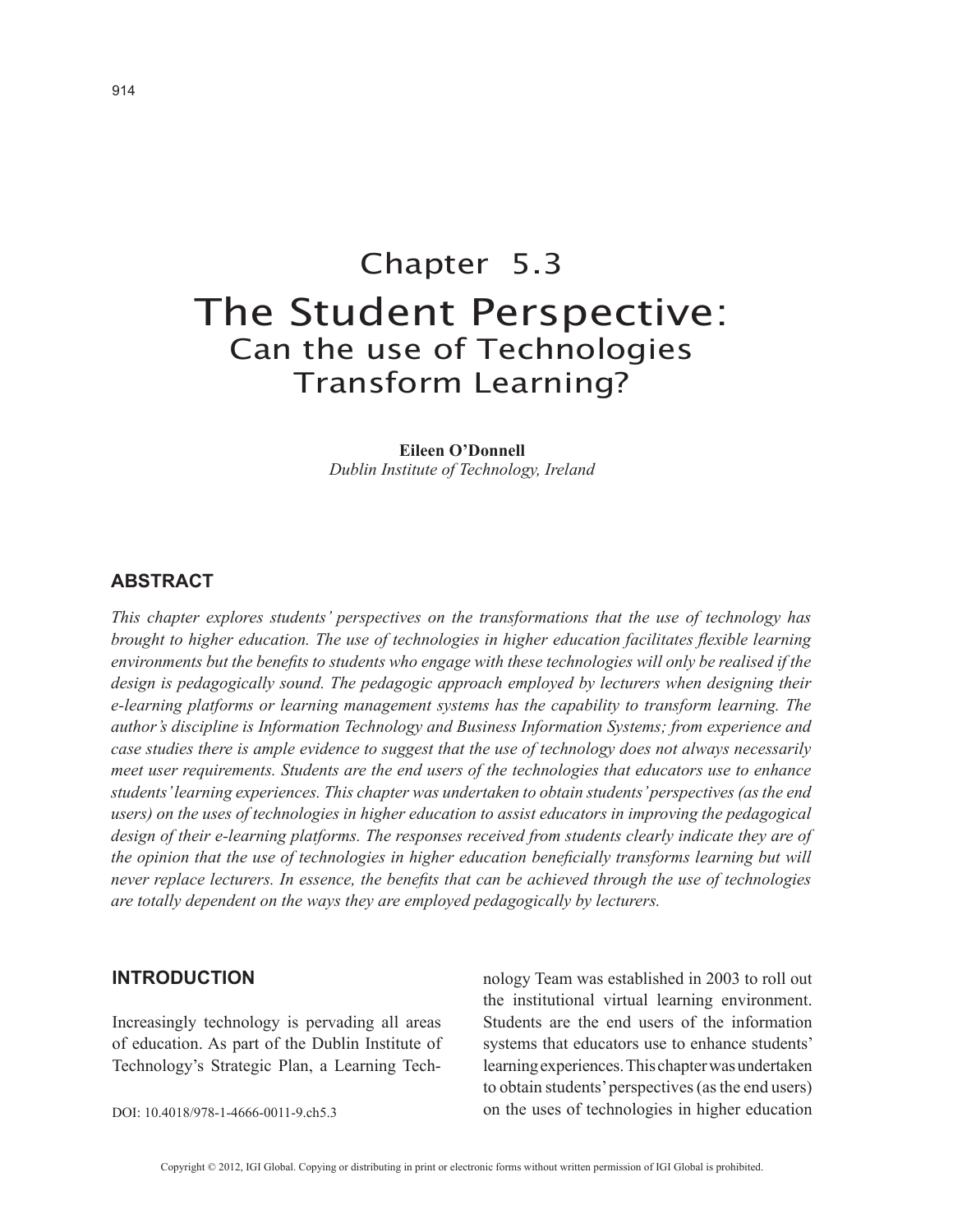# Chapter 5.3 The Student Perspective: Can the use of Technologies Transform Learning?

**Eileen O'Donnell** *Dublin Institute of Technology, Ireland*

# **ABSTRACT**

*This chapter explores students' perspectives on the transformations that the use of technology has brought to higher education. The use of technologies in higher education facilitates flexible learning environments but the benefits to students who engage with these technologies will only be realised if the design is pedagogically sound. The pedagogic approach employed by lecturers when designing their e-learning platforms or learning management systems has the capability to transform learning. The author's discipline is Information Technology and Business Information Systems; from experience and case studies there is ample evidence to suggest that the use of technology does not always necessarily meet user requirements. Students are the end users of the technologies that educators use to enhance students' learning experiences. This chapter was undertaken to obtain students' perspectives (as the end users) on the uses of technologies in higher education to assist educators in improving the pedagogical design of their e-learning platforms. The responses received from students clearly indicate they are of the opinion that the use of technologies in higher education beneficially transforms learning but will never replace lecturers. In essence, the benefits that can be achieved through the use of technologies are totally dependent on the ways they are employed pedagogically by lecturers.*

#### **INTRODUCTION**

Increasingly technology is pervading all areas of education. As part of the Dublin Institute of Technology's Strategic Plan, a Learning Tech-

DOI: 10.4018/978-1-4666-0011-9.ch5.3

nology Team was established in 2003 to roll out the institutional virtual learning environment. Students are the end users of the information systems that educators use to enhance students' learning experiences. This chapter was undertaken to obtain students' perspectives (as the end users) on the uses of technologies in higher education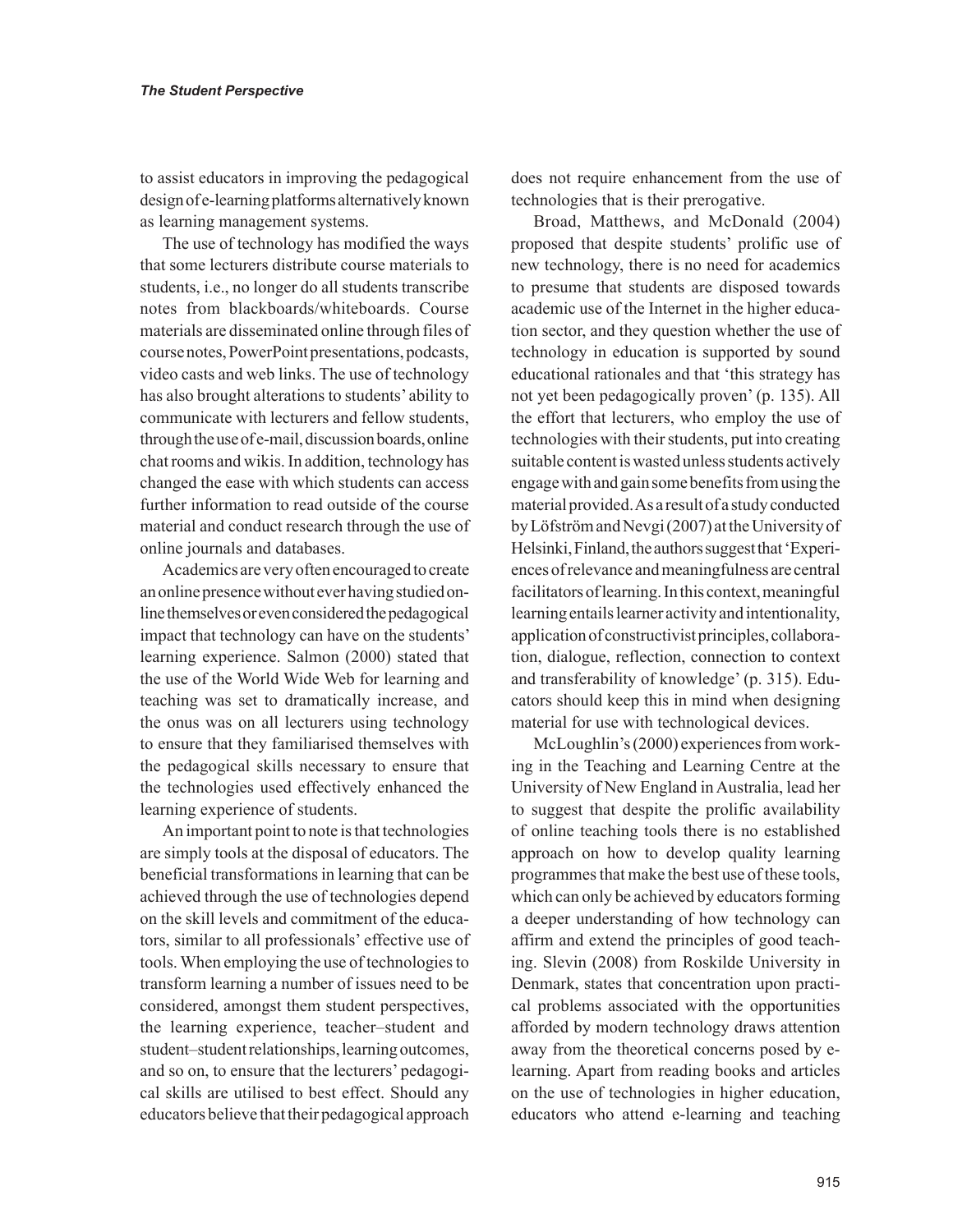to assist educators in improving the pedagogical design of e-learning platforms alternatively known as learning management systems.

The use of technology has modified the ways that some lecturers distribute course materials to students, i.e., no longer do all students transcribe notes from blackboards/whiteboards. Course materials are disseminated online through files of course notes, PowerPoint presentations, podcasts, video casts and web links. The use of technology has also brought alterations to students' ability to communicate with lecturers and fellow students, through the use of e-mail, discussion boards, online chat rooms and wikis. In addition, technology has changed the ease with which students can access further information to read outside of the course material and conduct research through the use of online journals and databases.

Academics are very often encouraged to create an online presence without ever having studied online themselves or even considered the pedagogical impact that technology can have on the students' learning experience. Salmon (2000) stated that the use of the World Wide Web for learning and teaching was set to dramatically increase, and the onus was on all lecturers using technology to ensure that they familiarised themselves with the pedagogical skills necessary to ensure that the technologies used effectively enhanced the learning experience of students.

An important point to note is that technologies are simply tools at the disposal of educators. The beneficial transformations in learning that can be achieved through the use of technologies depend on the skill levels and commitment of the educators, similar to all professionals' effective use of tools. When employing the use of technologies to transform learning a number of issues need to be considered, amongst them student perspectives, the learning experience, teacher–student and student–student relationships, learning outcomes, and so on, to ensure that the lecturers' pedagogical skills are utilised to best effect. Should any educators believe that their pedagogical approach

does not require enhancement from the use of technologies that is their prerogative.

Broad, Matthews, and McDonald (2004) proposed that despite students' prolific use of new technology, there is no need for academics to presume that students are disposed towards academic use of the Internet in the higher education sector, and they question whether the use of technology in education is supported by sound educational rationales and that 'this strategy has not yet been pedagogically proven' (p. 135). All the effort that lecturers, who employ the use of technologies with their students, put into creating suitable content is wasted unless students actively engage with and gain some benefits from using the material provided. As a result of a study conducted by Löfström and Nevgi (2007) at the University of Helsinki, Finland, the authors suggest that 'Experiences of relevance and meaningfulness are central facilitators of learning. In this context, meaningful learning entails learner activity and intentionality, application of constructivist principles, collaboration, dialogue, reflection, connection to context and transferability of knowledge' (p. 315). Educators should keep this in mind when designing material for use with technological devices.

McLoughlin's (2000) experiences from working in the Teaching and Learning Centre at the University of New England in Australia, lead her to suggest that despite the prolific availability of online teaching tools there is no established approach on how to develop quality learning programmes that make the best use of these tools, which can only be achieved by educators forming a deeper understanding of how technology can affirm and extend the principles of good teaching. Slevin (2008) from Roskilde University in Denmark, states that concentration upon practical problems associated with the opportunities afforded by modern technology draws attention away from the theoretical concerns posed by elearning. Apart from reading books and articles on the use of technologies in higher education, educators who attend e-learning and teaching